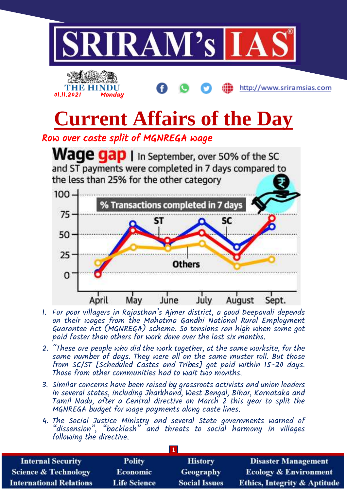

- 1. For poor villagers in Rajasthan's Ajmer district, a good Deepavali depends on their wages from the Mahatma Gandhi National Rural Employment Guarantee Act (MGNREGA) scheme. So tensions ran high when some got paid faster than others for work done over the last six months.
- 2. "These are people who did the work together, at the same worksite, for the same number of days. They were all on the same muster roll. But those from SC/ST [Scheduled Castes and Tribes] got paid within 15-20 days. Those from other communities had to wait two months.
- 3. Similar concerns have been raised by grassroots activists and union leaders in several states, including Jharkhand, West Bengal, Bihar, Karnataka and Tamil Nadu, after a Central directive on March 2 this year to split the MGNREGA budget for wage payments along caste lines.
- 4. The Social Justice Ministry and several State governments warned of "dissension", "backlash" and threats to social harmony in villages following the directive.

| <b>Internal Security</b>        | <b>Polity</b>       | <b>History</b>       | <b>Disaster Management</b>              |
|---------------------------------|---------------------|----------------------|-----------------------------------------|
| <b>Science &amp; Technology</b> | Economic            | Geography            | <b>Ecology &amp; Environment</b>        |
| <b>International Relations</b>  | <b>Life Science</b> | <b>Social Issues</b> | <b>Ethics, Integrity &amp; Aptitude</b> |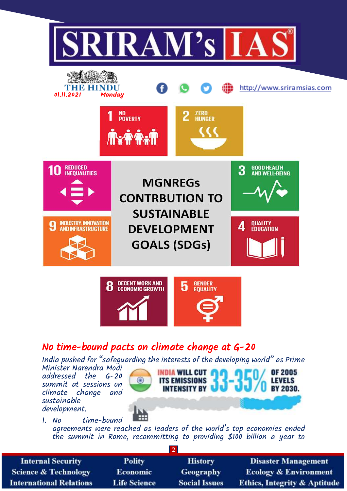

# No time-bound pacts on climate change at G-20

India pushed for "safeguarding the interests of the developing world" as Prime

Minister Narendra Modi addressed the G-20 summit at sessions on change and sustainable development.



1. No time-bound

agreements were reached as leaders of the world's top economies ended the summit in Rome, recommitting to providing \$100 billion a year to

| <b>Internal Security</b>        | <b>Polity</b>       | <b>History</b>       | <b>Disaster Management</b>              |  |
|---------------------------------|---------------------|----------------------|-----------------------------------------|--|
| <b>Science &amp; Technology</b> | <b>Economic</b>     | Geography            | <b>Ecology &amp; Environment</b>        |  |
| <b>International Relations</b>  | <b>Life Science</b> | <b>Social Issues</b> | <b>Ethics, Integrity &amp; Aptitude</b> |  |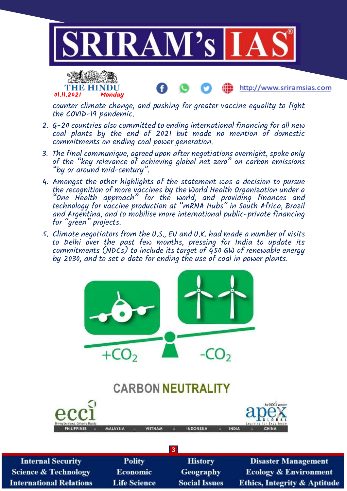



http://www.sriramsias.com

counter climate change, and pushing for greater vaccine equality to fight the COVID-19 pandemic.

- 2. G-20 countries also committed to ending international financing for all new coal plants by the end of 2021 but made no mention of domestic commitments on ending coal power generation.
- 3. The final communique, agreed upon after negotiations overnight, spoke only of the "key relevance of achieving global net zero" on carbon emissions "by or around mid-century".
- 4. Amongst the other highlights of the statement was a decision to pursue the recognition of more vaccines by the World Health Organization under a "One Health approach" for the world, and providing finances and technology for vaccine production at "mRNA Hubs" in South Africa, Brazil and Argentina, and to mobilise more international public-private financing for "green" projects.
- 5. Climate negotiators from the U.S., EU and U.K. had made a number of visits to Delhi over the past few months, pressing for India to update its commitments (NDCs) to include its target of  $450$  GW of renewable energy by 2030, and to set a date for ending the use of coal in power plants.



| <b>Polity</b>       | <b>History</b>       | <b>Disaster Management</b>              |  |  |
|---------------------|----------------------|-----------------------------------------|--|--|
| <b>Economic</b>     | Geography            | <b>Ecology &amp; Environment</b>        |  |  |
| <b>Life Science</b> | <b>Social Issues</b> | <b>Ethics, Integrity &amp; Aptitude</b> |  |  |
|                     |                      |                                         |  |  |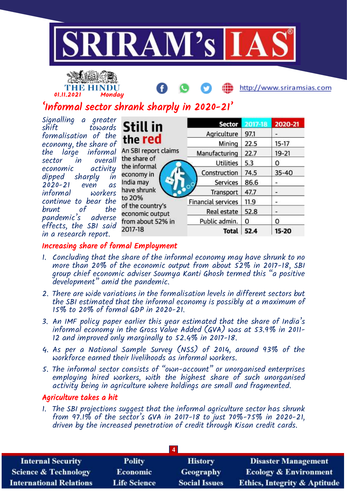



http://www.sriramsias.com

# 'Informal sector shrank sharply in 2020-21'

| Signalling a greater                   |        |
|----------------------------------------|--------|
| shift towards                          |        |
| formalisation of the                   |        |
| economy, the share of                  |        |
| the large informal                     | ŀ      |
|                                        | t      |
| sector in overall<br>economic activity | t      |
| dipped sharply in                      | €      |
| 2020-21 even as                        | I      |
| informal workers                       | ŀ      |
| continue to bear the                   | t      |
| brunt of the                           | c      |
| pandemic's adverse                     | €<br>f |
| effects, the SBI said                  | 2      |
| in a research report.                  |        |

| Still in                     | <b>Sector</b>               | 2017-18 | 2020-21   |
|------------------------------|-----------------------------|---------|-----------|
|                              | Agriculture                 | 97.1    |           |
| the red                      | Mining                      | 22.5    | $15-17$   |
| An SBI report claims         | Manufacturing               | 22.7    | 19-21     |
| the share of<br>the informal | <b>Utilities</b>            | 5.3     | 0         |
| economy in                   | Construction                | 74.5    | $35 - 40$ |
| India may                    | <b>Services</b><br>$\Omega$ | 86.6    |           |
| have shrunk                  | Transport                   | 47.7    |           |
| to 20%<br>of the country's   | <b>Financial services</b>   | 11.9    | ۰         |
| economic output              | <b>Real estate</b>          | 52.8    | ۰         |
| from about 52% in            | Public admin.               | 0       | 0         |
| 2017-18                      | <b>Total</b>                | 52.4    | 15-20     |

## Increasing share of formal Employment

- 1. Concluding that the share of the informal economy may have shrunk to no more than 20% of the economic output from about 52% in 2017-18, SBI group chief economic adviser Soumya Kanti Ghosh termed this "a positive development" amid the pandemic.
- 2. There are wide variations in the formalisation levels in different sectors but the SBI estimated that the informal economy is possibly at a maximum of 15% to 20% of formal GDP in 2020-21.
- 3. An IMF policy paper earlier this year estimated that the share of India's informal economy in the Gross Value Added (GVA) was at 53.9% in 2011- 12 and improved only marginally to 52.4% in 2017-18.
- 4. As per a National Sample Survey (NSS) of 2014, around 93% of the workforce earned their livelihoods as informal workers.
- 5. The informal sector consists of "own-account" or unorganised enterprises employing hired workers, with the highest share of such unorganised activity being in agriculture where holdings are small and fragmented.

#### Agriculture takes a hit

1. The SBI projections suggest that the informal agriculture sector has shrunk from 97.1% of the sector's GVA in 2017-18 to just 70%-75% in 2020-21, driven by the increased penetration of credit through Kisan credit cards.

| <b>Internal Security</b>        | <b>Polity</b>       | <b>History</b>       | <b>Disaster Management</b>              |  |
|---------------------------------|---------------------|----------------------|-----------------------------------------|--|
| <b>Science &amp; Technology</b> | <b>Economic</b>     | Geography            | <b>Ecology &amp; Environment</b>        |  |
| <b>International Relations</b>  | <b>Life Science</b> | <b>Social Issues</b> | <b>Ethics, Integrity &amp; Aptitude</b> |  |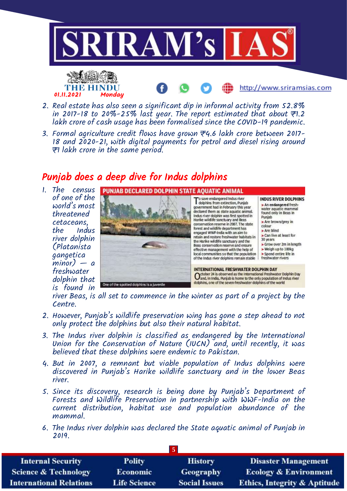

- 2. Real estate has also seen a significant dip in informal activity from 52.8% in 2017-18 to 20%-25% last year. The report estimated that about  $\overline{\tau}$ 1.2 lakh crore of cash usage has been formalised since the COVID-19 pandemic.
- 3. Formal agriculture credit flows have grown ₹4.6 lakh crore between 2017- 18 and 2020-21, with digital payments for petrol and diesel rising around ₹1 lakh crore in the same period.

## Punjab does a deep dive for Indus dolphins

1. The census of one of the world's most threatened cetaceans, the Indus river dolphin (Platanista gangetica  $minor$ ) — a freshwater dolphin that is found in

01.11.2021 Monday



river Beas, is all set to commence in the winter as part of a project by the Centre.

- 2. However, Punjab's wildlife preservation wing has gone a step ahead to not only protect the dolphins but also their natural habitat.
- 3. The Indus river dolphin is classified as endangered by the International Union for the Conservation of Nature (IUCN) and, until recently, it was believed that these dolphins were endemic to Pakistan.
- 4. But in 2007, a remnant but viable population of Indus dolphins were discovered in Punjab's Harike wildlife sanctuary and in the lower Beas river.
- 5. Since its discovery, research is being done by Punjab's Department of Forests and Wildlife Preservation in partnership with WWF-India on the current distribution, habitat use and population abundance of the mammal.
- 6. The Indus river dolphin was declared the State aquatic animal of Punjab in 2019.

| <b>Internal Security</b>        | <b>Polity</b>       | <b>History</b>       | <b>Disaster Management</b>              |  |
|---------------------------------|---------------------|----------------------|-----------------------------------------|--|
| <b>Science &amp; Technology</b> | <b>Economic</b>     | <b>Geography</b>     | <b>Ecology &amp; Environment</b>        |  |
| <b>International Relations</b>  | <b>Life Science</b> | <b>Social Issues</b> | <b>Ethics, Integrity &amp; Aptitude</b> |  |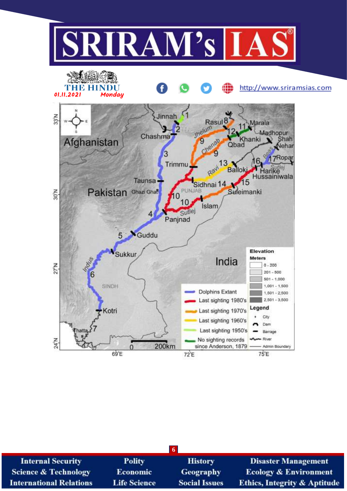

| <b>Internal Security</b>        | <b>Polity</b>       | <b>History</b>       | <b>Disaster Management</b>              |  |
|---------------------------------|---------------------|----------------------|-----------------------------------------|--|
| <b>Science &amp; Technology</b> | <b>Economic</b>     | <b>Geography</b>     | <b>Ecology &amp; Environment</b>        |  |
| <b>International Relations</b>  | <b>Life Science</b> | <b>Social Issues</b> | <b>Ethics, Integrity &amp; Aptitude</b> |  |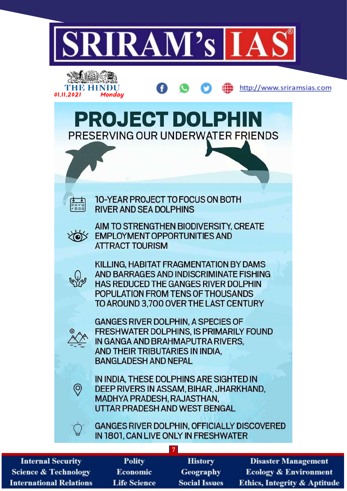

**Internal Security Science & Technology International Relations** 

- **Polity Economic Life Science**
- **History Geography Social Issues**

**Ecology & Environment Ethics, Integrity & Aptitude**